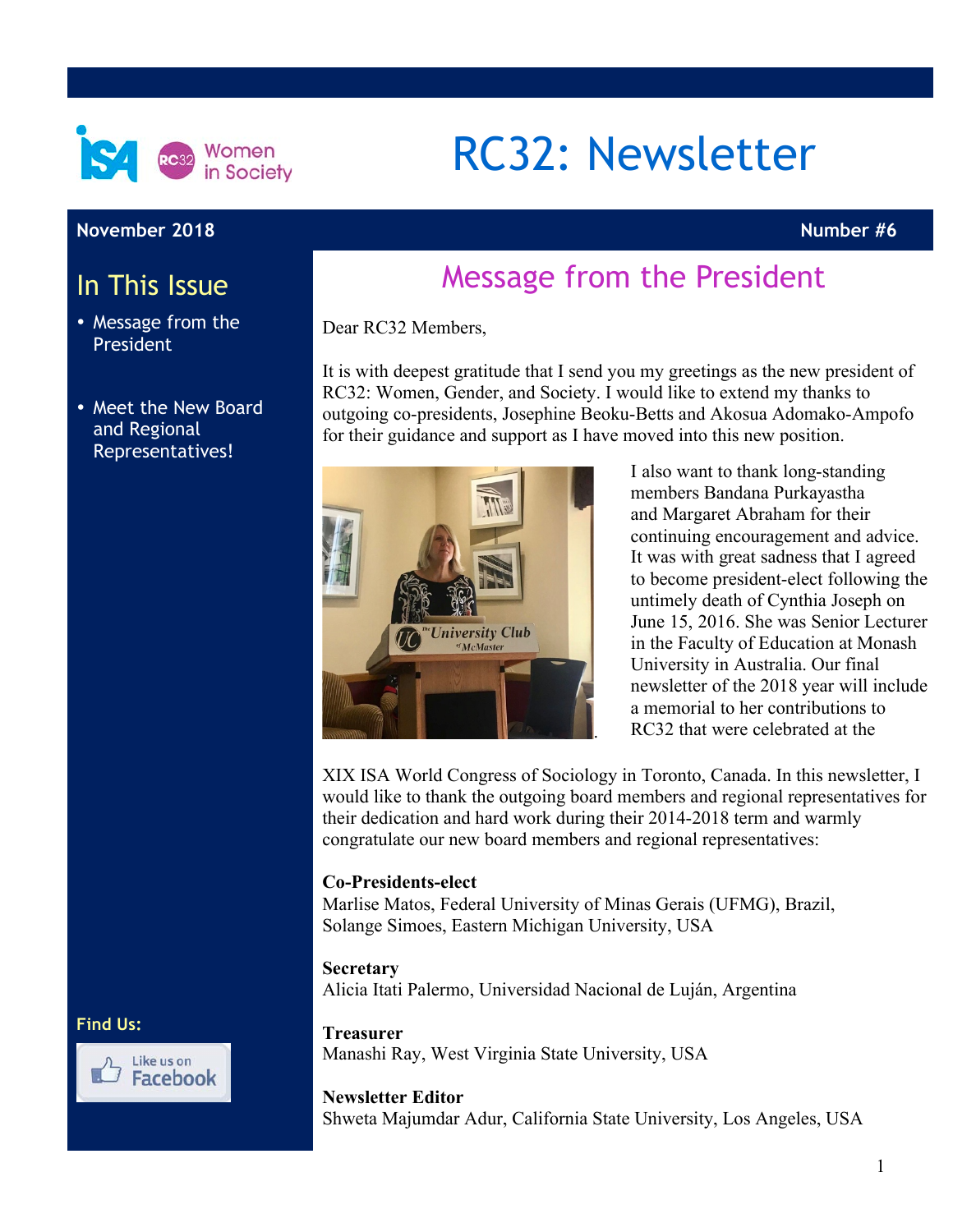

#### **November 2018 Number #6**

## In This Issue

- Message from the President
- Meet the New Board and Regional Representatives!

#### **Find Us:**



# RC32: Newsletter

# Message from the President

Dear RC32 Members,

It is with deepest gratitude that I send you my greetings as the new president of RC32: Women, Gender, and Society. I would like to extend my thanks to outgoing co-presidents, Josephine Beoku-Betts and Akosua Adomako-Ampofo for their guidance and support as I have moved into this new position.



I also want to thank long-standing members Bandana Purkayastha and Margaret Abraham for their continuing encouragement and advice. It was with great sadness that I agreed to become president-elect following the untimely death of Cynthia Joseph on June 15, 2016. She was Senior Lecturer in the Faculty of Education at Monash University in Australia. Our final newsletter of the 2018 year will include a memorial to her contributions to RC32 that were celebrated at the

XIX ISA World Congress of Sociology in Toronto, Canada. In this newsletter, I would like to thank the outgoing board members and regional representatives for their dedication and hard work during their 2014-2018 term and warmly congratulate our new board members and regional representatives:

#### **Co-Presidents-elect**

Marlise Matos, Federal University of Minas Gerais (UFMG), Brazil, Solange Simoes, Eastern Michigan University, USA

#### **Secretary**

Alicia Itati Palermo, Universidad Nacional de Luján, Argentina

#### **Treasurer**

Manashi Ray, West Virginia State University, USA

#### **Newsletter Editor**

Shweta Majumdar Adur, California State University, Los Angeles, USA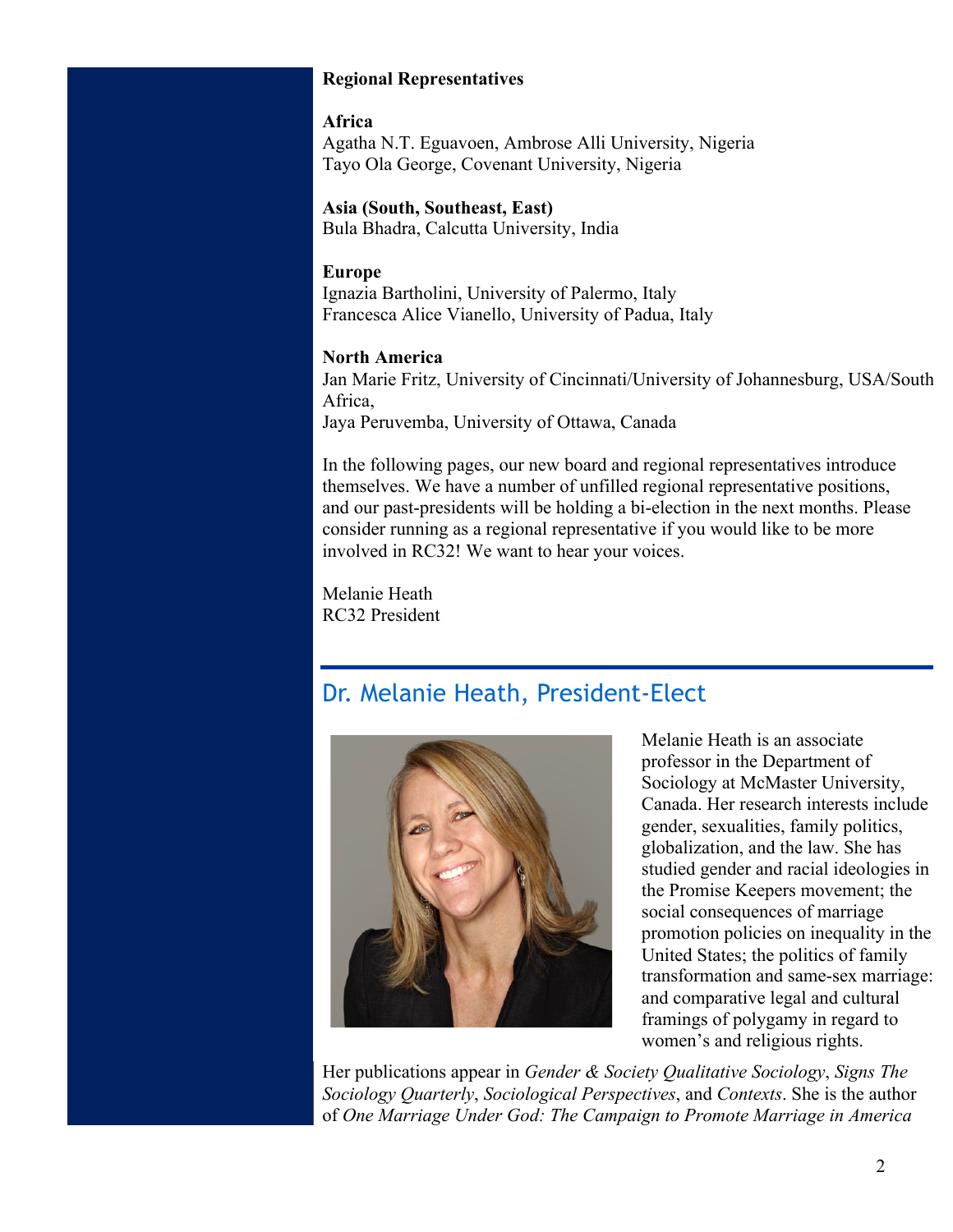#### **Regional Representatives**

#### **Africa**

Agatha N.T. Eguavoen, Ambrose Alli University, Nigeria Tayo Ola George, Covenant University, Nigeria

**Asia (South, Southeast, East)** Bula Bhadra, Calcutta University, India

#### **Europe**

Ignazia Bartholini, University of Palermo, Italy Francesca Alice Vianello, University of Padua, Italy

#### **North America**

Jan Marie Fritz, University of Cincinnati/University of Johannesburg, USA/South Africa,

Jaya Peruvemba, University of Ottawa, Canada

In the following pages, our new board and regional representatives introduce themselves. We have a number of unfilled regional representative positions, and our past-presidents will be holding a bi-election in the next months. Please consider running as a regional representative if you would like to be more involved in RC32! We want to hear your voices.

Melanie Heath RC32 President

### Dr. Melanie Heath, President-Elect



Melanie Heath is an associate professor in the Department of Sociology at McMaster University, Canada. Her research interests include gender, sexualities, family politics, globalization, and the law. She has studied gender and racial ideologies in the Promise Keepers movement; the social consequences of marriage promotion policies on inequality in the United States; the politics of family transformation and same-sex marriage: and comparative legal and cultural framings of polygamy in regard to women's and religious rights.

Her publications appear in *Gender & Society Qualitative Sociology*, *Signs The Sociology Quarterly*, *Sociological Perspectives*, and *Contexts*. She is the author of *One Marriage Under God: The Campaign to Promote Marriage in America*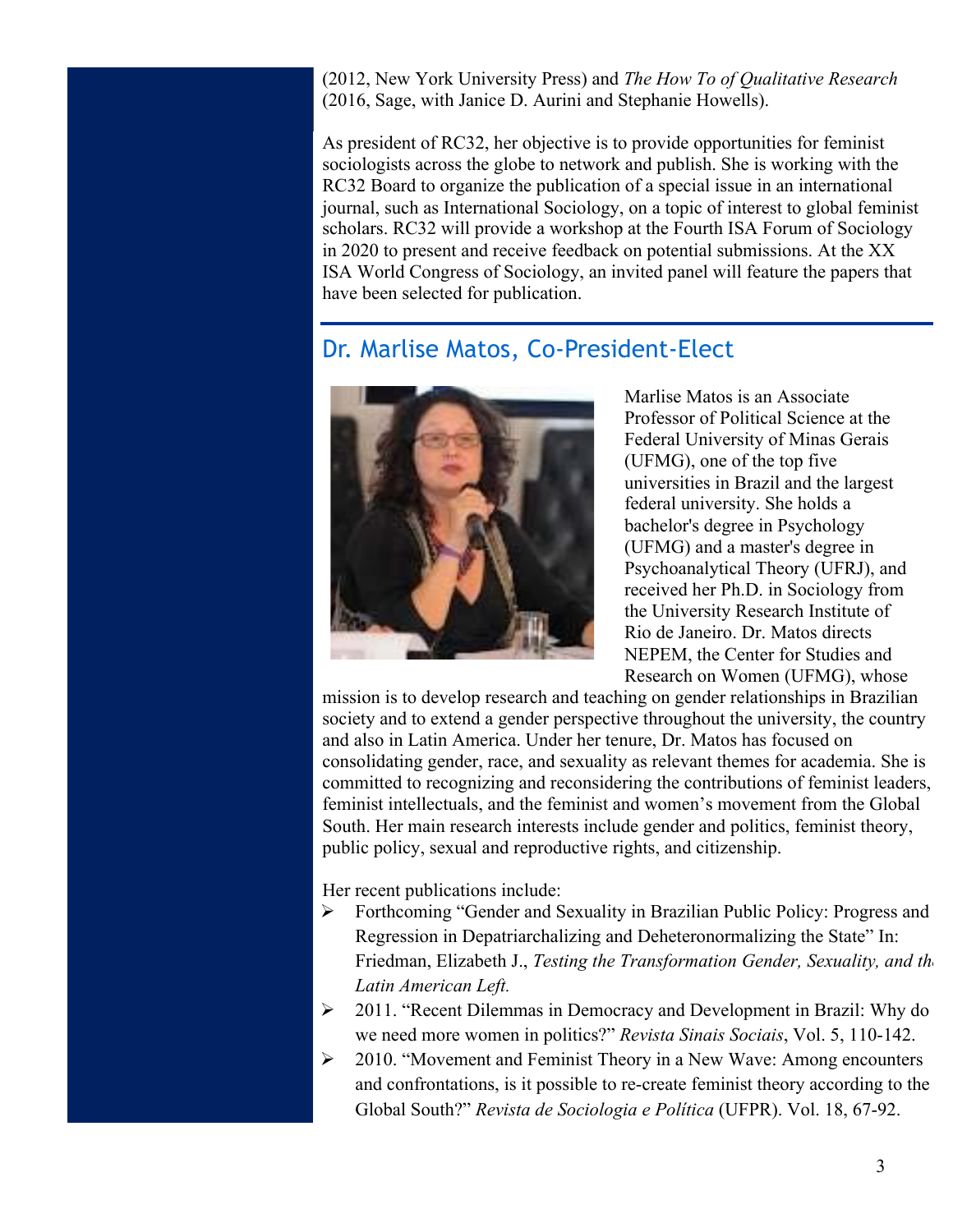(2012, New York University Press) and *The How To of Qualitative Research* (2016, Sage, with Janice D. Aurini and Stephanie Howells).

As president of RC32, her objective is to provide opportunities for feminist sociologists across the globe to network and publish. She is working with the RC32 Board to organize the publication of a special issue in an international journal, such as International Sociology, on a topic of interest to global feminist scholars. RC32 will provide a workshop at the Fourth ISA Forum of Sociology in 2020 to present and receive feedback on potential submissions. At the XX ISA World Congress of Sociology, an invited panel will feature the papers that have been selected for publication.

### Dr. Marlise Matos, Co-President-Elect



Marlise Matos is an Associate Professor of Political Science at the Federal University of Minas Gerais (UFMG), one of the top five universities in Brazil and the largest federal university. She holds a bachelor's degree in Psychology (UFMG) and a master's degree in Psychoanalytical Theory (UFRJ), and received her Ph.D. in Sociology from the University Research Institute of Rio de Janeiro. Dr. Matos directs NEPEM, the Center for Studies and Research on Women (UFMG), whose

mission is to develop research and teaching on gender relationships in Brazilian society and to extend a gender perspective throughout the university, the country and also in Latin America. Under her tenure, Dr. Matos has focused on consolidating gender, race, and sexuality as relevant themes for academia. She is committed to recognizing and reconsidering the contributions of feminist leaders, feminist intellectuals, and the feminist and women's movement from the Global South. Her main research interests include gender and politics, feminist theory, public policy, sexual and reproductive rights, and citizenship.

Her recent publications include:

- Ø Forthcoming "Gender and Sexuality in Brazilian Public Policy: Progress and Regression in Depatriarchalizing and Deheteronormalizing the State" In: Friedman, Elizabeth J., *Testing the Transformation Gender, Sexuality, and the Latin American Left.*
- Ø 2011. "Recent Dilemmas in Democracy and Development in Brazil: Why do we need more women in politics?" *Revista Sinais Sociais*, Vol. 5, 110-142.
- Ø 2010. "Movement and Feminist Theory in a New Wave: Among encounters and confrontations, is it possible to re-create feminist theory according to the Global South?" *Revista de Sociologia e Política* (UFPR). Vol. 18, 67-92.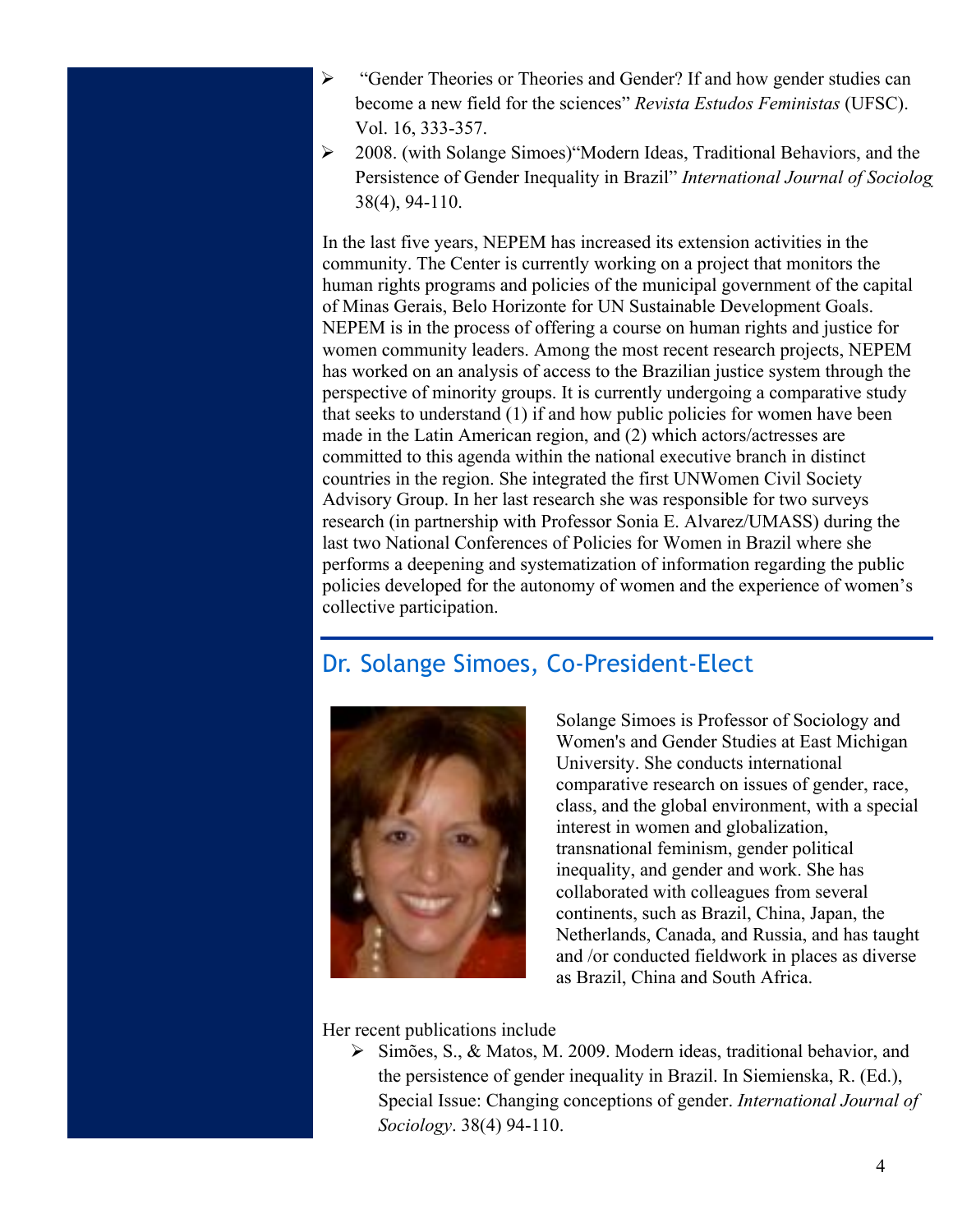- Ø "Gender Theories or Theories and Gender? If and how gender studies can become a new field for the sciences" *Revista Estudos Feministas* (UFSC). Vol. 16, 333-357.
- Ø 2008. (with Solange Simoes)"Modern Ideas, Traditional Behaviors, and the Persistence of Gender Inequality in Brazil" *International Journal of Sociology*. 38(4), 94-110.

In the last five years, NEPEM has increased its extension activities in the community. The Center is currently working on a project that monitors the human rights programs and policies of the municipal government of the capital of Minas Gerais, Belo Horizonte for UN Sustainable Development Goals. NEPEM is in the process of offering a course on human rights and justice for women community leaders. Among the most recent research projects, NEPEM has worked on an analysis of access to the Brazilian justice system through the perspective of minority groups. It is currently undergoing a comparative study that seeks to understand (1) if and how public policies for women have been made in the Latin American region, and (2) which actors/actresses are committed to this agenda within the national executive branch in distinct countries in the region. She integrated the first UNWomen Civil Society Advisory Group. In her last research she was responsible for two surveys research (in partnership with Professor Sonia E. Alvarez/UMASS) during the last two National Conferences of Policies for Women in Brazil where she performs a deepening and systematization of information regarding the public policies developed for the autonomy of women and the experience of women's collective participation.

### Dr. Solange Simoes, Co-President-Elect



Solange Simoes is Professor of Sociology and Women's and Gender Studies at East Michigan University. She conducts international comparative research on issues of gender, race, class, and the global environment, with a special interest in women and globalization, transnational feminism, gender political inequality, and gender and work. She has collaborated with colleagues from several continents, such as Brazil, China, Japan, the Netherlands, Canada, and Russia, and has taught and /or conducted fieldwork in places as diverse as Brazil, China and South Africa.

Her recent publications include

Ø Simões, S., & Matos, M. 2009. Modern ideas, traditional behavior, and the persistence of gender inequality in Brazil. In Siemienska, R. (Ed.), Special Issue: Changing conceptions of gender. *International Journal of Sociology*. 38(4) 94-110.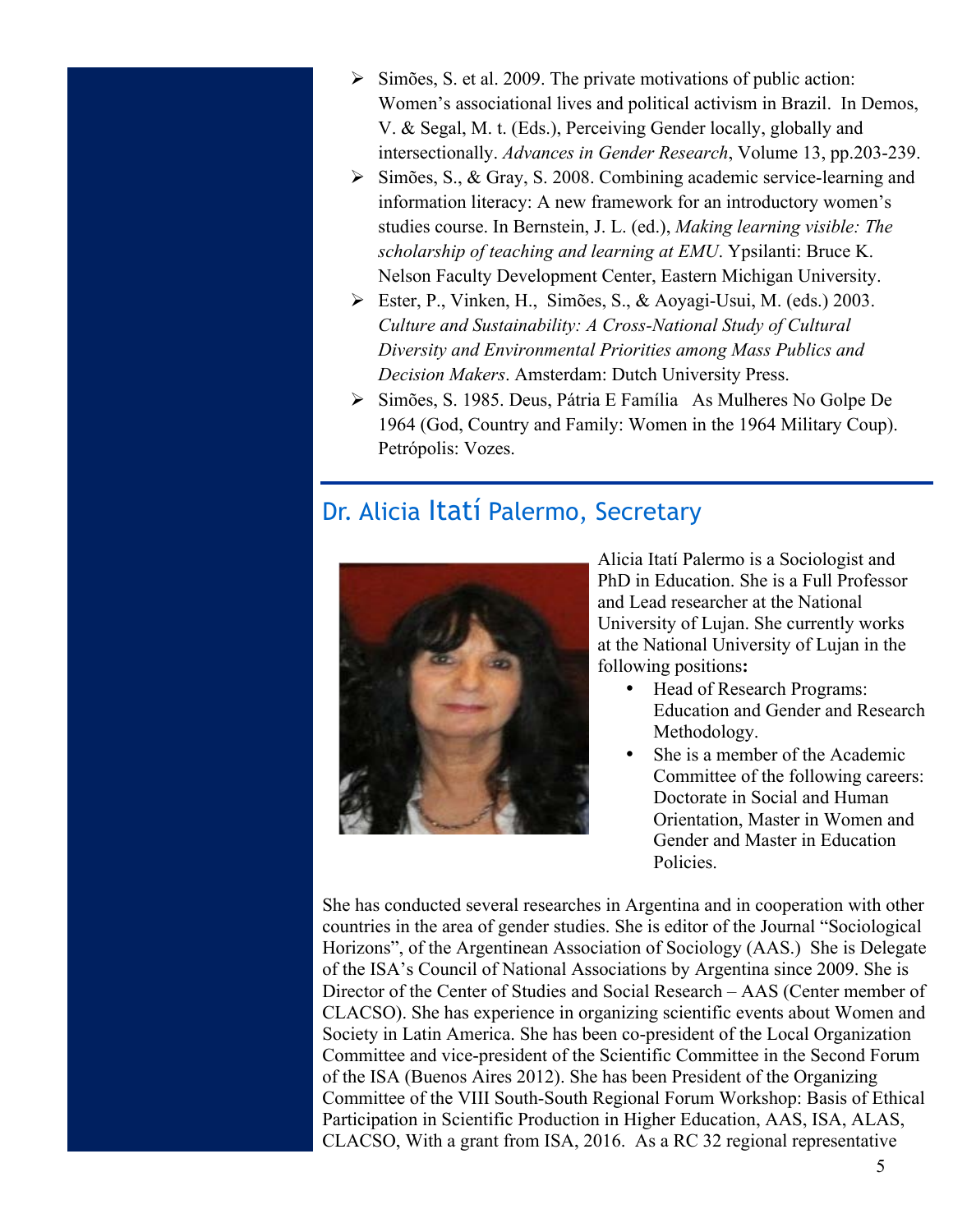- $\triangleright$  Simões, S. et al. 2009. The private motivations of public action: Women's associational lives and political activism in Brazil. In Demos, V. & Segal, M. t. (Eds.), Perceiving Gender locally, globally and intersectionally. *Advances in Gender Research*, Volume 13, pp.203-239.
- $\triangleright$  Simões, S., & Gray, S. 2008. Combining academic service-learning and information literacy: A new framework for an introductory women's studies course. In Bernstein, J. L. (ed.), *Making learning visible: The scholarship of teaching and learning at EMU*. Ypsilanti: Bruce K. Nelson Faculty Development Center, Eastern Michigan University.
- Ø Ester, P., Vinken, H., Simões, S., & Aoyagi-Usui, M. (eds.) 2003. *Culture and Sustainability: A Cross-National Study of Cultural Diversity and Environmental Priorities among Mass Publics and Decision Makers*. Amsterdam: Dutch University Press.
- Ø Simões, S. 1985. Deus, Pátria E Família As Mulheres No Golpe De 1964 (God, Country and Family: Women in the 1964 Military Coup). Petrópolis: Vozes.

### Dr. Alicia Itatí Palermo, Secretary



Alicia Itatí Palermo is a Sociologist and PhD in Education. She is a Full Professor and Lead researcher at the National University of Lujan. She currently works at the National University of Lujan in the following positions**:**

- Head of Research Programs: Education and Gender and Research Methodology.
- She is a member of the Academic Committee of the following careers: Doctorate in Social and Human Orientation, Master in Women and Gender and Master in Education Policies.

She has conducted several researches in Argentina and in cooperation with other countries in the area of gender studies. She is editor of the Journal "Sociological Horizons", of the Argentinean Association of Sociology (AAS.) She is Delegate of the ISA's Council of National Associations by Argentina since 2009. She is Director of the Center of Studies and Social Research – AAS (Center member of CLACSO). She has experience in organizing scientific events about Women and Society in Latin America. She has been co-president of the Local Organization Committee and vice-president of the Scientific Committee in the Second Forum of the ISA (Buenos Aires 2012). She has been President of the Organizing Committee of the VIII South-South Regional Forum Workshop: Basis of Ethical Participation in Scientific Production in Higher Education, AAS, ISA, ALAS, CLACSO, With a grant from ISA, 2016. As a RC 32 regional representative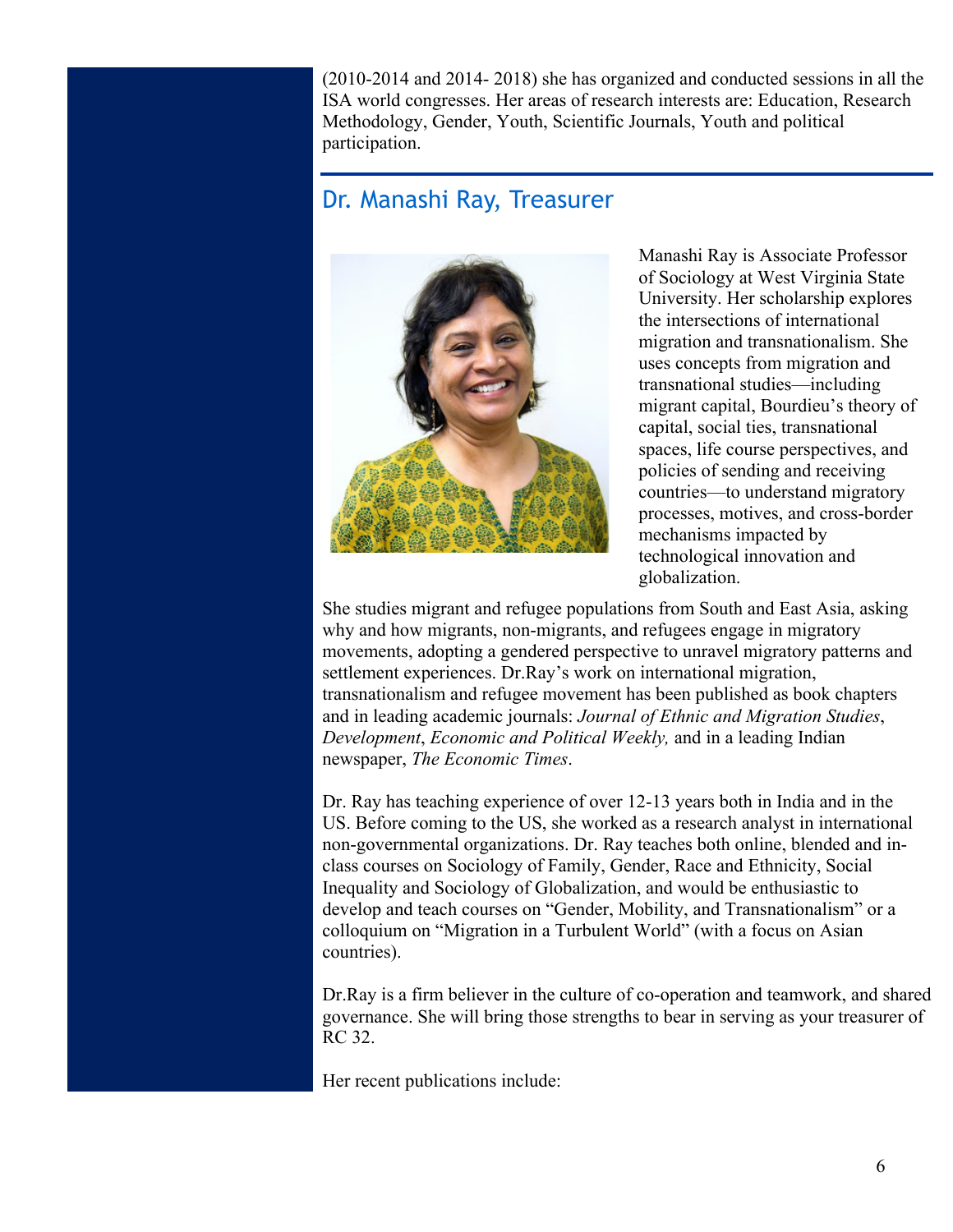(2010-2014 and 2014- 2018) she has organized and conducted sessions in all the ISA world congresses. Her areas of research interests are: Education, Research Methodology, Gender, Youth, Scientific Journals, Youth and political participation.

#### Dr. Manashi Ray, Treasurer



Manashi Ray is Associate Professor of Sociology at West Virginia State University. Her scholarship explores the intersections of international migration and transnationalism. She uses concepts from migration and transnational studies—including migrant capital, Bourdieu's theory of capital, social ties, transnational spaces, life course perspectives, and policies of sending and receiving countries—to understand migratory processes, motives, and cross-border mechanisms impacted by technological innovation and globalization.

She studies migrant and refugee populations from South and East Asia, asking why and how migrants, non-migrants, and refugees engage in migratory movements, adopting a gendered perspective to unravel migratory patterns and settlement experiences. Dr.Ray's work on international migration, transnationalism and refugee movement has been published as book chapters and in leading academic journals: *Journal of Ethnic and Migration Studies*, *Development*, *Economic and Political Weekly,* and in a leading Indian newspaper, *The Economic Times*.

Dr. Ray has teaching experience of over 12-13 years both in India and in the US. Before coming to the US, she worked as a research analyst in international non-governmental organizations. Dr. Ray teaches both online, blended and inclass courses on Sociology of Family, Gender, Race and Ethnicity, Social Inequality and Sociology of Globalization, and would be enthusiastic to develop and teach courses on "Gender, Mobility, and Transnationalism" or a colloquium on "Migration in a Turbulent World" (with a focus on Asian countries).

Dr.Ray is a firm believer in the culture of co-operation and teamwork, and shared governance. She will bring those strengths to bear in serving as your treasurer of RC 32.

Her recent publications include: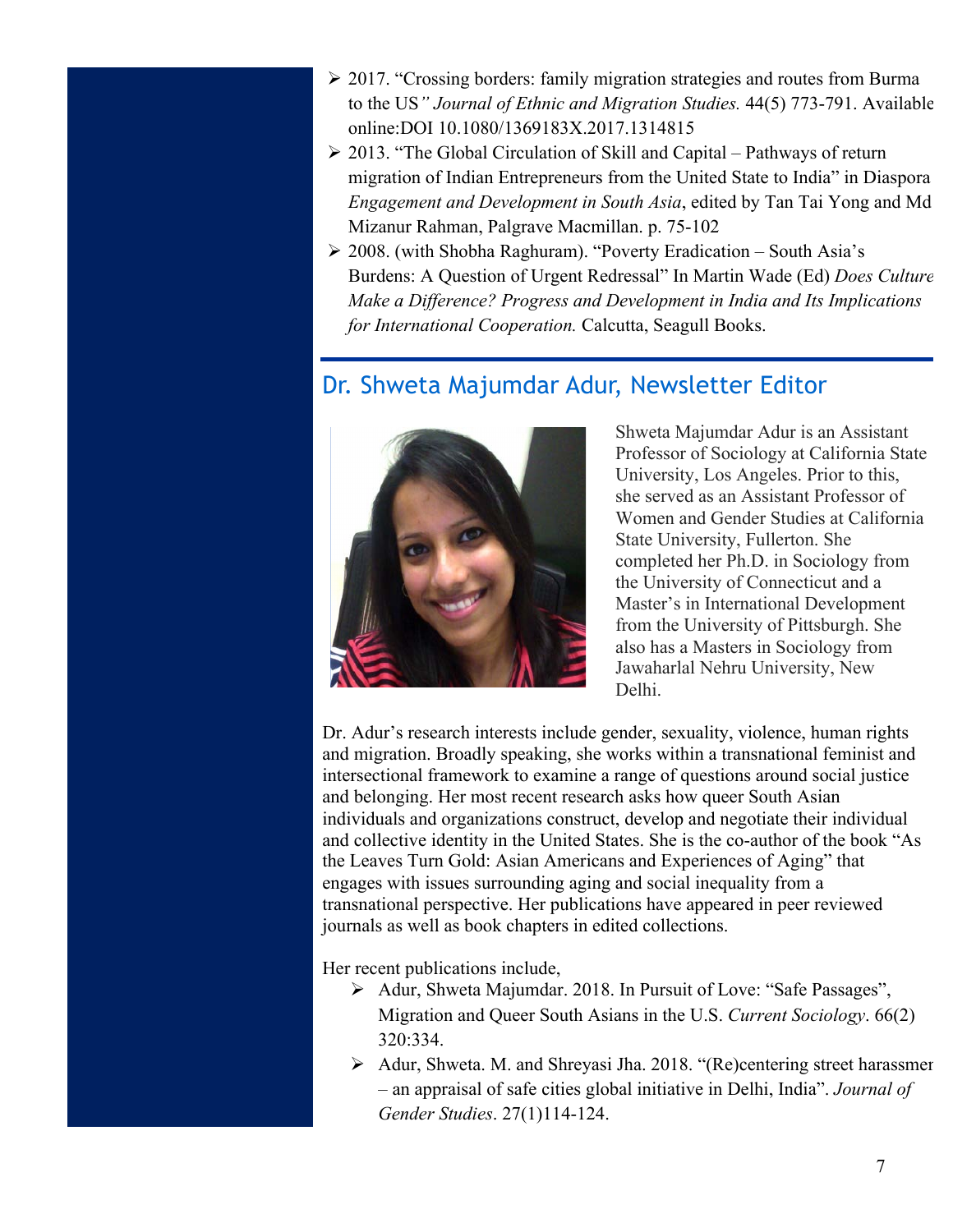- Ø 2017. "Crossing borders: family migration strategies and routes from Burma to the US*" Journal of Ethnic and Migration Studies.* 44(5) 773-791. Available online:DOI 10.1080/1369183X.2017.1314815
- $\geq$  2013. "The Global Circulation of Skill and Capital Pathways of return migration of Indian Entrepreneurs from the United State to India" in Diaspora *Engagement and Development in South Asia*, edited by Tan Tai Yong and Md Mizanur Rahman, Palgrave Macmillan. p. 75-102
- Ø 2008. (with Shobha Raghuram). "Poverty Eradication South Asia's Burdens: A Question of Urgent Redressal" In Martin Wade (Ed) *Does Culture Make a Difference? Progress and Development in India and Its Implications for International Cooperation.* Calcutta, Seagull Books.

### Dr. Shweta Majumdar Adur, Newsletter Editor



Shweta Majumdar Adur is an Assistant Professor of Sociology at California State University, Los Angeles. Prior to this, she served as an Assistant Professor of Women and Gender Studies at California State University, Fullerton. She completed her Ph.D. in Sociology from the University of Connecticut and a Master's in International Development from the University of Pittsburgh. She also has a Masters in Sociology from Jawaharlal Nehru University, New Delhi.

Dr. Adur's research interests include gender, sexuality, violence, human rights and migration. Broadly speaking, she works within a transnational feminist and intersectional framework to examine a range of questions around social justice and belonging. Her most recent research asks how queer South Asian individuals and organizations construct, develop and negotiate their individual and collective identity in the United States. She is the co-author of the book "As the Leaves Turn Gold: Asian Americans and Experiences of Aging" that engages with issues surrounding aging and social inequality from a transnational perspective. Her publications have appeared in peer reviewed journals as well as book chapters in edited collections.

Her recent publications include,

- Ø Adur, Shweta Majumdar. 2018. In Pursuit of Love: "Safe Passages", Migration and Queer South Asians in the U.S. *Current Sociology*. 66(2) 320:334.
- $\triangleright$  Adur, Shweta. M. and Shreyasi Jha. 2018. "(Re)centering street harassment – an appraisal of safe cities global initiative in Delhi, India". *Journal of Gender Studies*. 27(1)114-124.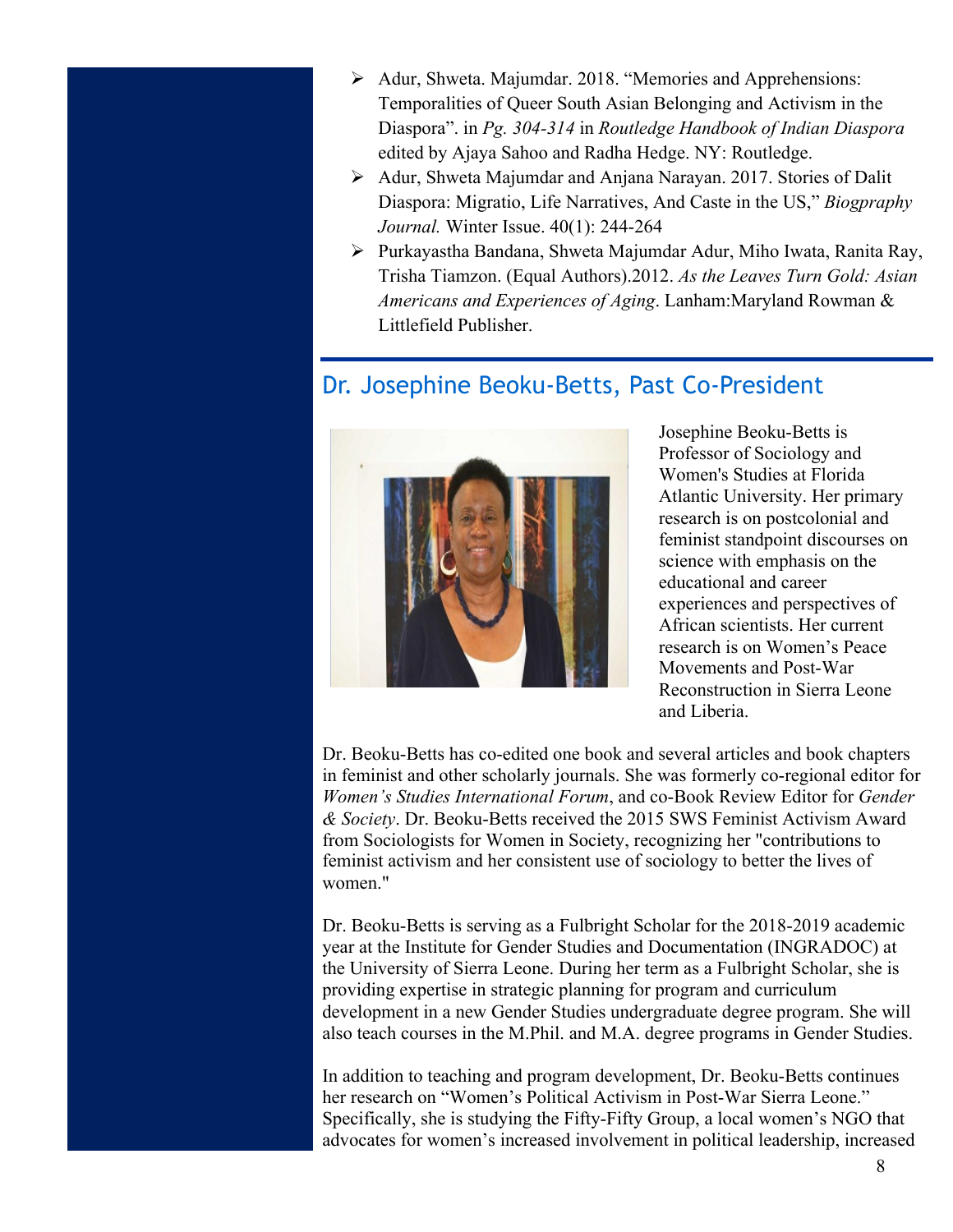- Ø Adur, Shweta. Majumdar. 2018. "Memories and Apprehensions: Temporalities of Queer South Asian Belonging and Activism in the Diaspora". in *Pg. 304-314* in *Routledge Handbook of Indian Diaspora* edited by Ajaya Sahoo and Radha Hedge. NY: Routledge.
- Ø Adur, Shweta Majumdar and Anjana Narayan. 2017. Stories of Dalit Diaspora: Migratio, Life Narratives, And Caste in the US," *Biogpraphy Journal.* Winter Issue. 40(1): 244-264
- Ø Purkayastha Bandana, Shweta Majumdar Adur, Miho Iwata, Ranita Ray, Trisha Tiamzon. (Equal Authors).2012. *As the Leaves Turn Gold: Asian Americans and Experiences of Aging*. Lanham:Maryland Rowman & Littlefield Publisher.

#### Dr. Josephine Beoku-Betts, Past Co-President



Josephine Beoku-Betts is Professor of Sociology and Women's Studies at Florida Atlantic University. Her primary research is on postcolonial and feminist standpoint discourses on science with emphasis on the educational and career experiences and perspectives of African scientists. Her current research is on Women's Peace Movements and Post-War Reconstruction in Sierra Leone and Liberia.

Dr. Beoku-Betts has co-edited one book and several articles and book chapters in feminist and other scholarly journals. She was formerly co-regional editor for *Women's Studies International Forum*, and co-Book Review Editor for *Gender & Society*. Dr. Beoku-Betts received the 2015 SWS Feminist Activism Award from Sociologists for Women in Society, recognizing her "contributions to feminist activism and her consistent use of sociology to better the lives of women."

Dr. Beoku-Betts is serving as a Fulbright Scholar for the 2018-2019 academic year at the Institute for Gender Studies and Documentation (INGRADOC) at the University of Sierra Leone. During her term as a Fulbright Scholar, she is providing expertise in strategic planning for program and curriculum development in a new Gender Studies undergraduate degree program. She will also teach courses in the M.Phil. and M.A. degree programs in Gender Studies.

In addition to teaching and program development, Dr. Beoku-Betts continues her research on "Women's Political Activism in Post-War Sierra Leone." Specifically, she is studying the Fifty-Fifty Group, a local women's NGO that advocates for women's increased involvement in political leadership, increased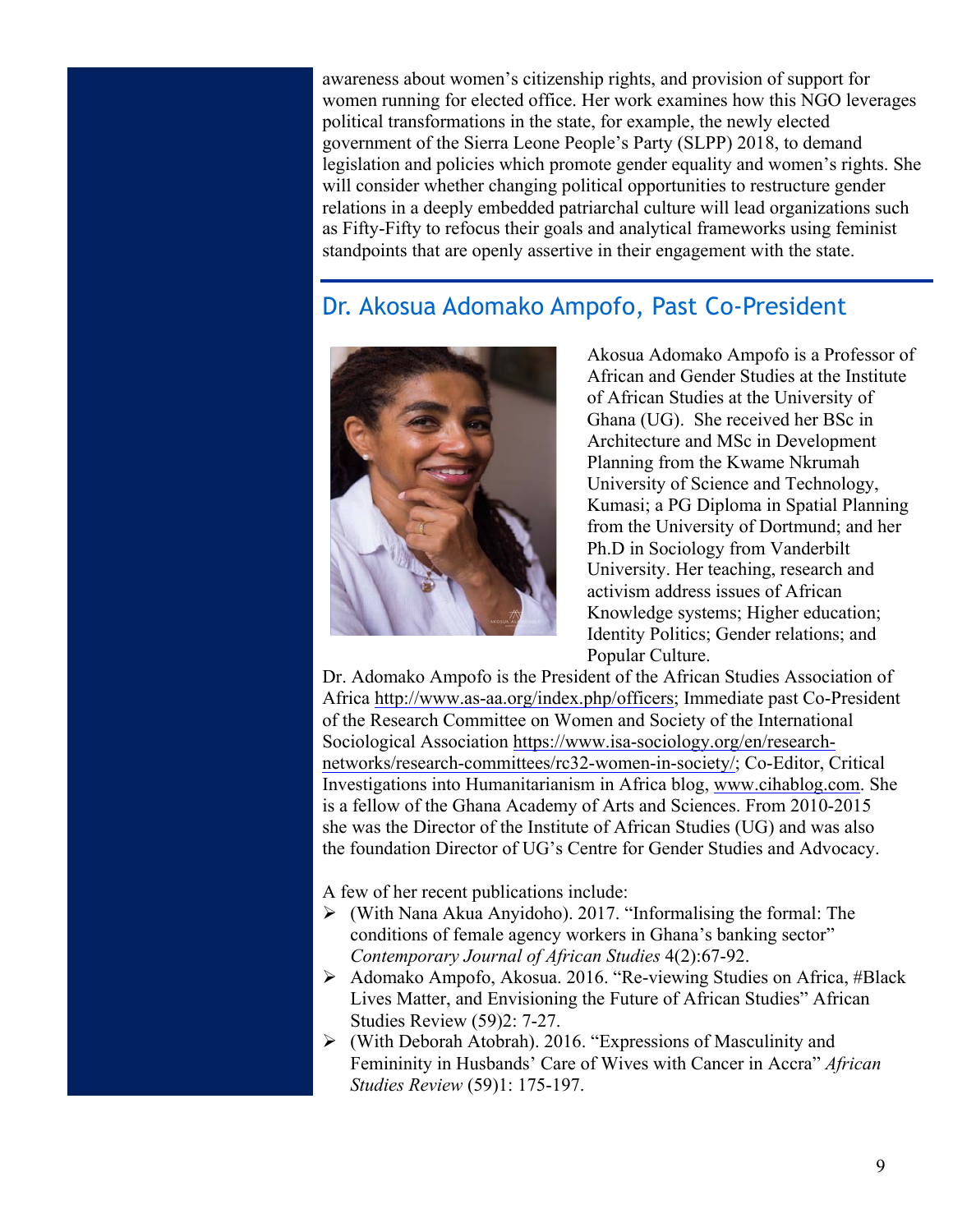awareness about women's citizenship rights, and provision of support for women running for elected office. Her work examines how this NGO leverages political transformations in the state, for example, the newly elected government of the Sierra Leone People's Party (SLPP) 2018, to demand legislation and policies which promote gender equality and women's rights. She will consider whether changing political opportunities to restructure gender relations in a deeply embedded patriarchal culture will lead organizations such as Fifty-Fifty to refocus their goals and analytical frameworks using feminist standpoints that are openly assertive in their engagement with the state.

### Dr. Akosua Adomako Ampofo, Past Co-President



Akosua Adomako Ampofo is a Professor of African and Gender Studies at the Institute of African Studies at the University of Ghana (UG). She received her BSc in Architecture and MSc in Development Planning from the Kwame Nkrumah University of Science and Technology, Kumasi; a PG Diploma in Spatial Planning from the University of Dortmund; and her Ph.D in Sociology from Vanderbilt University. Her teaching, research and activism address issues of African Knowledge systems; Higher education; Identity Politics; Gender relations; and Popular Culture.

Dr. Adomako Ampofo is the President of the African Studies Association of Africa http://www.as-aa.org/index.php/officers; Immediate past Co-President of the Research Committee on Women and Society of the International Sociological Association https://www.isa-sociology.org/en/researchnetworks/research-committees/rc32-women-in-society/; Co-Editor, Critical Investigations into Humanitarianism in Africa blog, www.cihablog.com. She is a fellow of the Ghana Academy of Arts and Sciences. From 2010-2015 she was the Director of the Institute of African Studies (UG) and was also the foundation Director of UG's Centre for Gender Studies and Advocacy.

A few of her recent publications include:

- $\triangleright$  (With Nana Akua Anyidoho). 2017. "Informalising the formal: The conditions of female agency workers in Ghana's banking sector" *Contemporary Journal of African Studies* 4(2):67-92.
- Ø Adomako Ampofo, Akosua. 2016. "Re-viewing Studies on Africa, #Black Lives Matter, and Envisioning the Future of African Studies" African Studies Review (59)2: 7-27.
- $\triangleright$  (With Deborah Atobrah). 2016. "Expressions of Masculinity and Femininity in Husbands' Care of Wives with Cancer in Accra" *African Studies Review* (59)1: 175-197.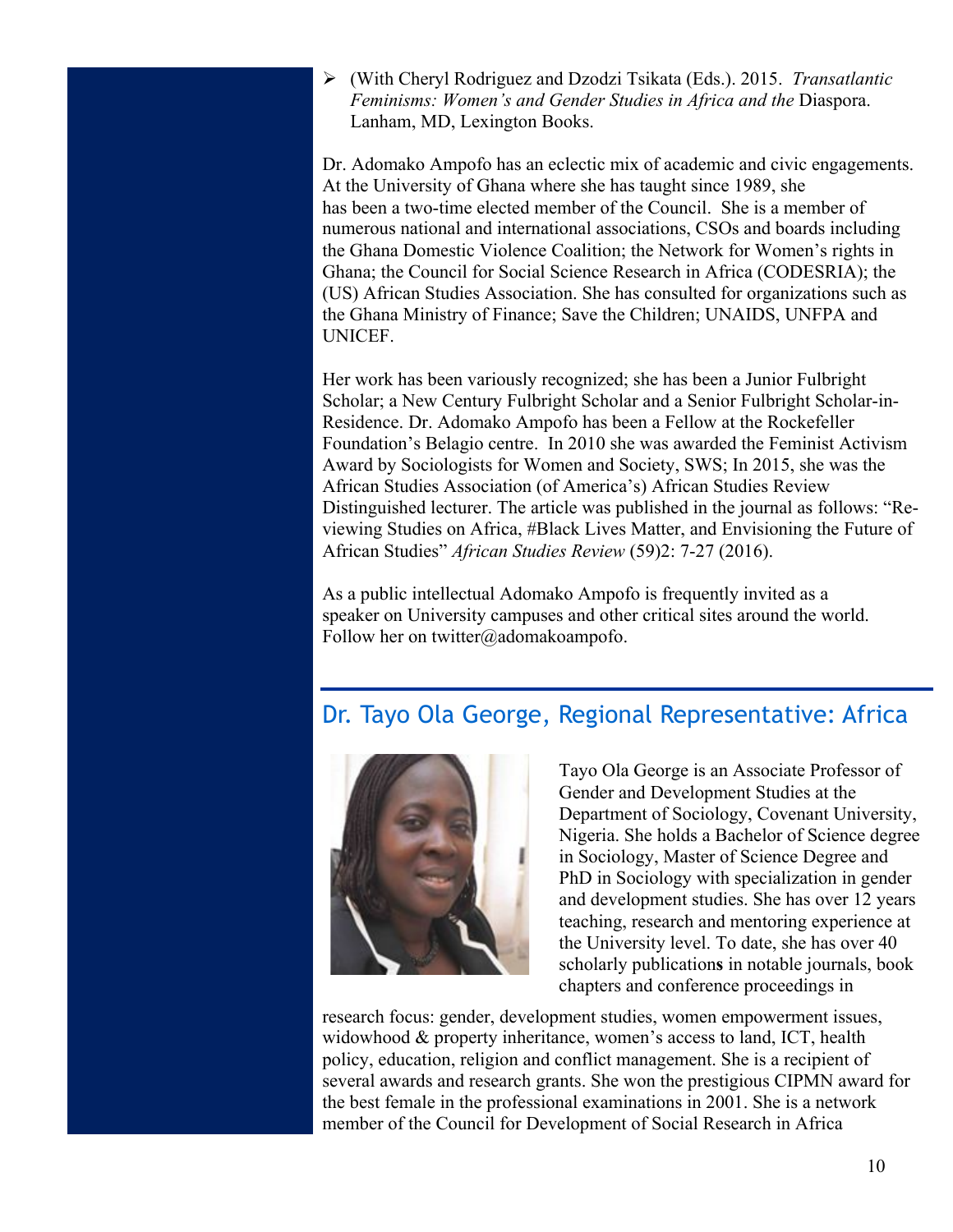Ø (With Cheryl Rodriguez and Dzodzi Tsikata (Eds.). 2015. *Transatlantic Feminisms: Women's and Gender Studies in Africa and the* Diaspora. Lanham, MD, Lexington Books.

Dr. Adomako Ampofo has an eclectic mix of academic and civic engagements. At the University of Ghana where she has taught since 1989, she has been a two-time elected member of the Council. She is a member of numerous national and international associations, CSOs and boards including the Ghana Domestic Violence Coalition; the Network for Women's rights in Ghana; the Council for Social Science Research in Africa (CODESRIA); the (US) African Studies Association. She has consulted for organizations such as the Ghana Ministry of Finance; Save the Children; UNAIDS, UNFPA and UNICEF.

Her work has been variously recognized; she has been a Junior Fulbright Scholar; a New Century Fulbright Scholar and a Senior Fulbright Scholar-in-Residence. Dr. Adomako Ampofo has been a Fellow at the Rockefeller Foundation's Belagio centre. In 2010 she was awarded the Feminist Activism Award by Sociologists for Women and Society, SWS; In 2015, she was the African Studies Association (of America's) African Studies Review Distinguished lecturer. The article was published in the journal as follows: "Reviewing Studies on Africa, #Black Lives Matter, and Envisioning the Future of African Studies" *African Studies Review* (59)2: 7-27 (2016).

As a public intellectual Adomako Ampofo is frequently invited as a speaker on University campuses and other critical sites around the world. Follow her on twitter@adomakoampofo.

### Dr. Tayo Ola George, Regional Representative: Africa



Tayo Ola George is an Associate Professor of Gender and Development Studies at the Department of Sociology, Covenant University, Nigeria. She holds a Bachelor of Science degree in Sociology, Master of Science Degree and PhD in Sociology with specialization in gender and development studies. She has over 12 years teaching, research and mentoring experience at the University level. To date, she has over 40 scholarly publication**s** in notable journals, book chapters and conference proceedings in

research focus: gender, development studies, women empowerment issues, widowhood & property inheritance, women's access to land, ICT, health policy, education, religion and conflict management. She is a recipient of several awards and research grants. She won the prestigious CIPMN award for the best female in the professional examinations in 2001. She is a network member of the Council for Development of Social Research in Africa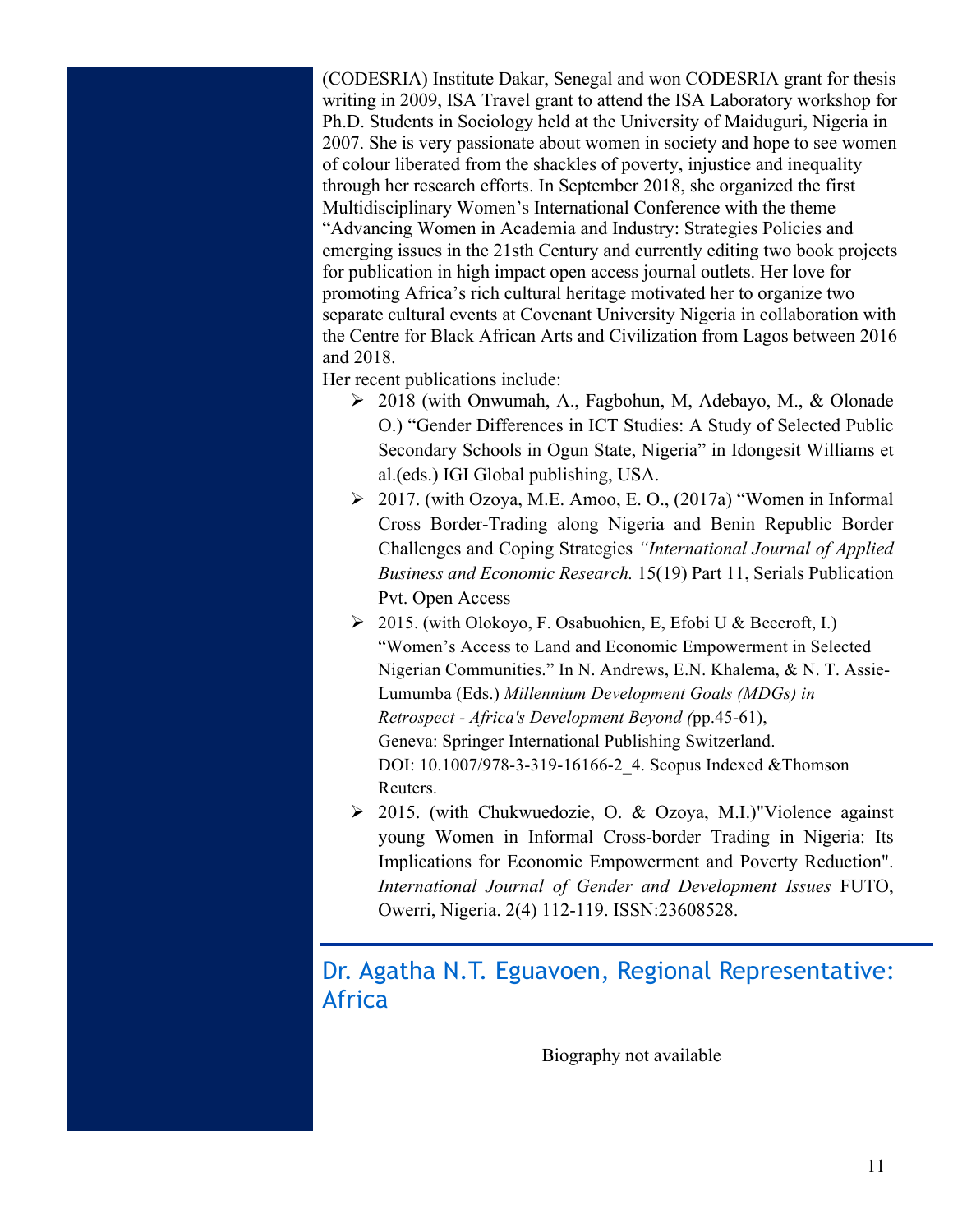(CODESRIA) Institute Dakar, Senegal and won CODESRIA grant for thesis writing in 2009, ISA Travel grant to attend the ISA Laboratory workshop for Ph.D. Students in Sociology held at the University of Maiduguri, Nigeria in 2007. She is very passionate about women in society and hope to see women of colour liberated from the shackles of poverty, injustice and inequality through her research efforts. In September 2018, she organized the first Multidisciplinary Women's International Conference with the theme "Advancing Women in Academia and Industry: Strategies Policies and emerging issues in the 21sth Century and currently editing two book projects for publication in high impact open access journal outlets. Her love for promoting Africa's rich cultural heritage motivated her to organize two separate cultural events at Covenant University Nigeria in collaboration with the Centre for Black African Arts and Civilization from Lagos between 2016 and 2018.

Her recent publications include:

- Ø 2018 (with Onwumah, A., Fagbohun, M, Adebayo, M., & Olonade O.) "Gender Differences in ICT Studies: A Study of Selected Public Secondary Schools in Ogun State, Nigeria" in Idongesit Williams et al.(eds.) IGI Global publishing, USA.
- Ø 2017. (with Ozoya, M.E. Amoo, E. O., (2017a) "Women in Informal Cross Border-Trading along Nigeria and Benin Republic Border Challenges and Coping Strategies *"International Journal of Applied Business and Economic Research.* 15(19) Part 11, Serials Publication Pvt. Open Access
- Ø 2015. (with Olokoyo, F. Osabuohien, E, Efobi U & Beecroft, I.) "Women's Access to Land and Economic Empowerment in Selected Nigerian Communities." In N. Andrews, E.N. Khalema, & N. T. Assie-Lumumba (Eds.) *Millennium Development Goals (MDGs) in Retrospect - Africa's Development Beyond (*pp.45-61), Geneva: Springer International Publishing Switzerland. DOI: 10.1007/978-3-319-16166-2 4. Scopus Indexed &Thomson Reuters.
- $\geq$  2015. (with Chukwuedozie, O. & Ozoya, M.I.)"Violence against young Women in Informal Cross-border Trading in Nigeria: Its Implications for Economic Empowerment and Poverty Reduction". *International Journal of Gender and Development Issues* FUTO, Owerri, Nigeria. 2(4) 112-119. ISSN:23608528.

Dr. Agatha N.T. Eguavoen, Regional Representative: Africa

Biography not available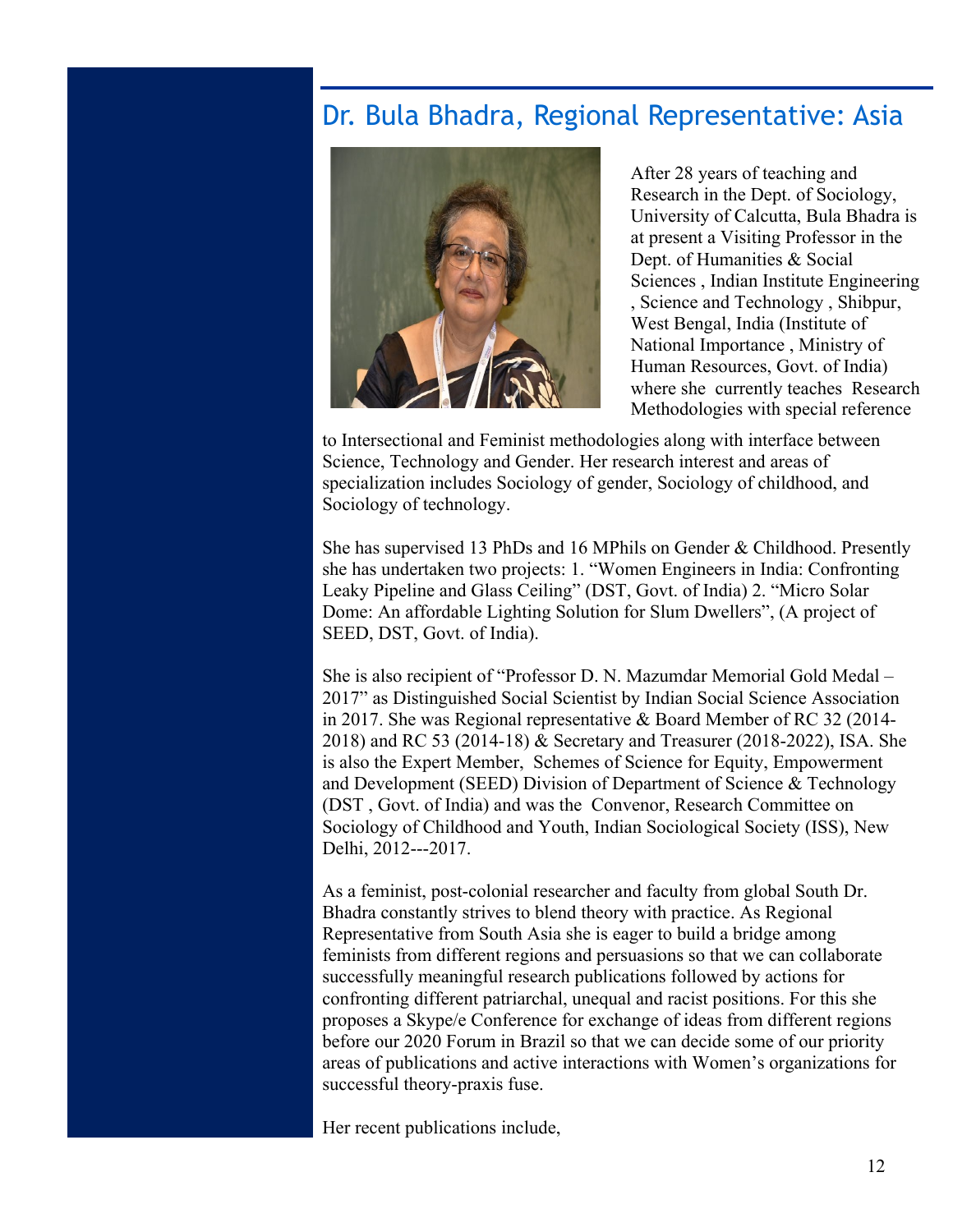### Dr. Bula Bhadra, Regional Representative: Asia



After 28 years of teaching and Research in the Dept. of Sociology, University of Calcutta, Bula Bhadra is at present a Visiting Professor in the Dept. of Humanities & Social Sciences , Indian Institute Engineering , Science and Technology , Shibpur, West Bengal, India (Institute of National Importance , Ministry of Human Resources, Govt. of India) where she currently teaches Research Methodologies with special reference

to Intersectional and Feminist methodologies along with interface between Science, Technology and Gender. Her research interest and areas of specialization includes Sociology of gender, Sociology of childhood, and Sociology of technology.

She has supervised 13 PhDs and 16 MPhils on Gender & Childhood. Presently she has undertaken two projects: 1. "Women Engineers in India: Confronting Leaky Pipeline and Glass Ceiling" (DST, Govt. of India) 2. "Micro Solar Dome: An affordable Lighting Solution for Slum Dwellers", (A project of SEED, DST, Govt. of India).

She is also recipient of "Professor D. N. Mazumdar Memorial Gold Medal – 2017" as Distinguished Social Scientist by Indian Social Science Association in 2017. She was Regional representative & Board Member of RC 32 (2014- 2018) and RC 53 (2014-18) & Secretary and Treasurer (2018-2022), ISA. She is also the Expert Member, Schemes of Science for Equity, Empowerment and Development (SEED) Division of Department of Science & Technology (DST , Govt. of India) and was the Convenor, Research Committee on Sociology of Childhood and Youth, Indian Sociological Society (ISS), New Delhi, 2012---2017.

As a feminist, post-colonial researcher and faculty from global South Dr. Bhadra constantly strives to blend theory with practice. As Regional Representative from South Asia she is eager to build a bridge among feminists from different regions and persuasions so that we can collaborate successfully meaningful research publications followed by actions for confronting different patriarchal, unequal and racist positions. For this she proposes a Skype/e Conference for exchange of ideas from different regions before our 2020 Forum in Brazil so that we can decide some of our priority areas of publications and active interactions with Women's organizations for successful theory-praxis fuse.

Her recent publications include,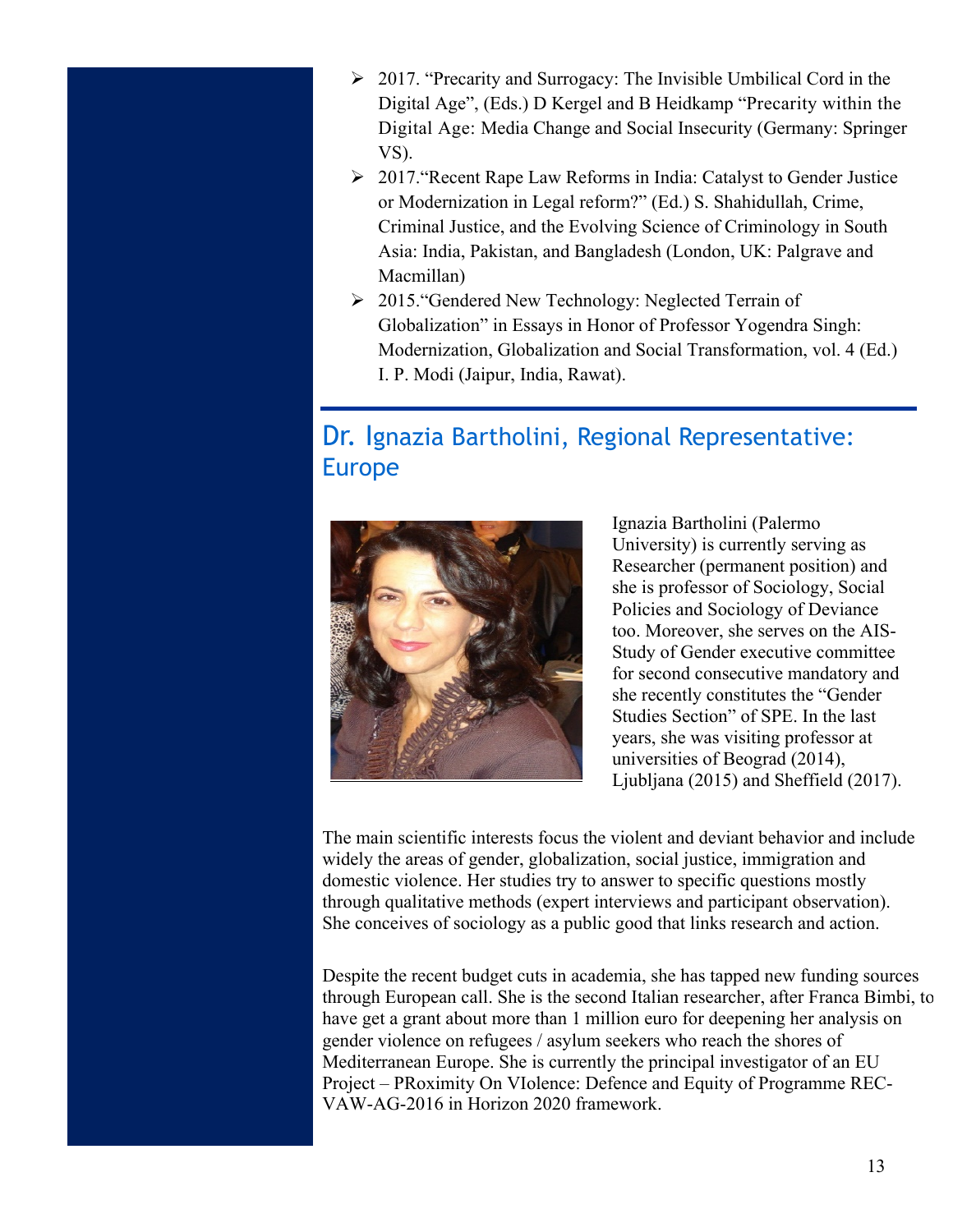- $\geq 2017$ . "Precarity and Surrogacy: The Invisible Umbilical Cord in the Digital Age", (Eds.) D Kergel and B Heidkamp "Precarity within the Digital Age: Media Change and Social Insecurity (Germany: Springer VS).
- Ø 2017."Recent Rape Law Reforms in India: Catalyst to Gender Justice or Modernization in Legal reform?" (Ed.) S. Shahidullah, Crime, Criminal Justice, and the Evolving Science of Criminology in South Asia: India, Pakistan, and Bangladesh (London, UK: Palgrave and Macmillan)
- Ø 2015."Gendered New Technology: Neglected Terrain of Globalization" in Essays in Honor of Professor Yogendra Singh: Modernization, Globalization and Social Transformation, vol. 4 (Ed.) I. P. Modi (Jaipur, India, Rawat).

### Dr. Ignazia Bartholini, Regional Representative: Europe



Ignazia Bartholini (Palermo University) is currently serving as Researcher (permanent position) and she is professor of Sociology, Social Policies and Sociology of Deviance too. Moreover, she serves on the AIS-Study of Gender executive committee for second consecutive mandatory and she recently constitutes the "Gender Studies Section" of SPE. In the last years, she was visiting professor at universities of Beograd (2014), Ljubljana (2015) and Sheffield (2017).

The main scientific interests focus the violent and deviant behavior and include widely the areas of gender, globalization, social justice, immigration and domestic violence. Her studies try to answer to specific questions mostly through qualitative methods (expert interviews and participant observation). She conceives of sociology as a public good that links research and action.

Despite the recent budget cuts in academia, she has tapped new funding sources through European call. She is the second Italian researcher, after Franca Bimbi, to have get a grant about more than 1 million euro for deepening her analysis on gender violence on refugees / asylum seekers who reach the shores of Mediterranean Europe. She is currently the principal investigator of an EU Project ‒ PRoximity On VIolence: Defence and Equity of Programme REC-VAW-AG-2016 in Horizon 2020 framework.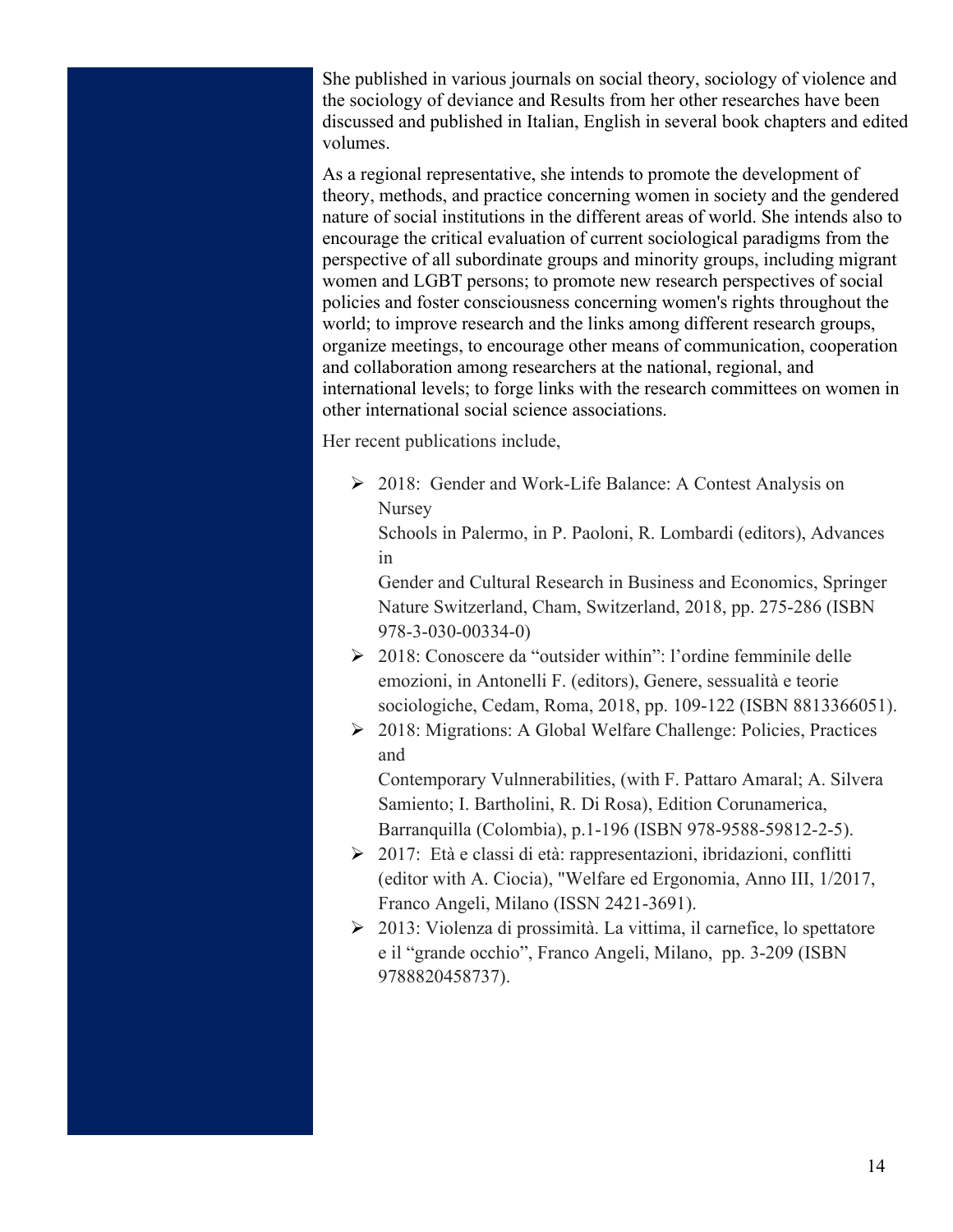She published in various journals on social theory, sociology of violence and the sociology of deviance and Results from her other researches have been discussed and published in Italian, English in several book chapters and edited volumes.

As a regional representative, she intends to promote the development of theory, methods, and practice concerning women in society and the gendered nature of social institutions in the different areas of world. She intends also to encourage the critical evaluation of current sociological paradigms from the perspective of all subordinate groups and minority groups, including migrant women and LGBT persons; to promote new research perspectives of social policies and foster consciousness concerning women's rights throughout the world; to improve research and the links among different research groups, organize meetings, to encourage other means of communication, cooperation and collaboration among researchers at the national, regional, and international levels; to forge links with the research committees on women in other international social science associations.

Her recent publications include,

Ø 2018: Gender and Work-Life Balance: A Contest Analysis on Nursey

Schools in Palermo, in P. Paoloni, R. Lombardi (editors), Advances in

Gender and Cultural Research in Business and Economics, Springer Nature Switzerland, Cham, Switzerland, 2018, pp. 275-286 (ISBN 978-3-030-00334-0)

- Ø 2018: Conoscere da "outsider within": l'ordine femminile delle emozioni, in Antonelli F. (editors), Genere, sessualità e teorie sociologiche, Cedam, Roma, 2018, pp. 109-122 (ISBN 8813366051).
- Ø 2018: Migrations: A Global Welfare Challenge: Policies, Practices and

Contemporary Vulnnerabilities, (with F. Pattaro Amaral; A. Silvera Samiento; I. Bartholini, R. Di Rosa), Edition Corunamerica, Barranquilla (Colombia), p.1-196 (ISBN 978-9588-59812-2-5).

- Ø 2017: Età e classi di età: rappresentazioni, ibridazioni, conflitti (editor with A. Ciocia), "Welfare ed Ergonomia, Anno III, 1/2017, Franco Angeli, Milano (ISSN 2421-3691).
- Ø 2013: Violenza di prossimità. La vittima, il carnefice, lo spettatore e il "grande occhio", Franco Angeli, Milano, pp. 3-209 (ISBN 9788820458737).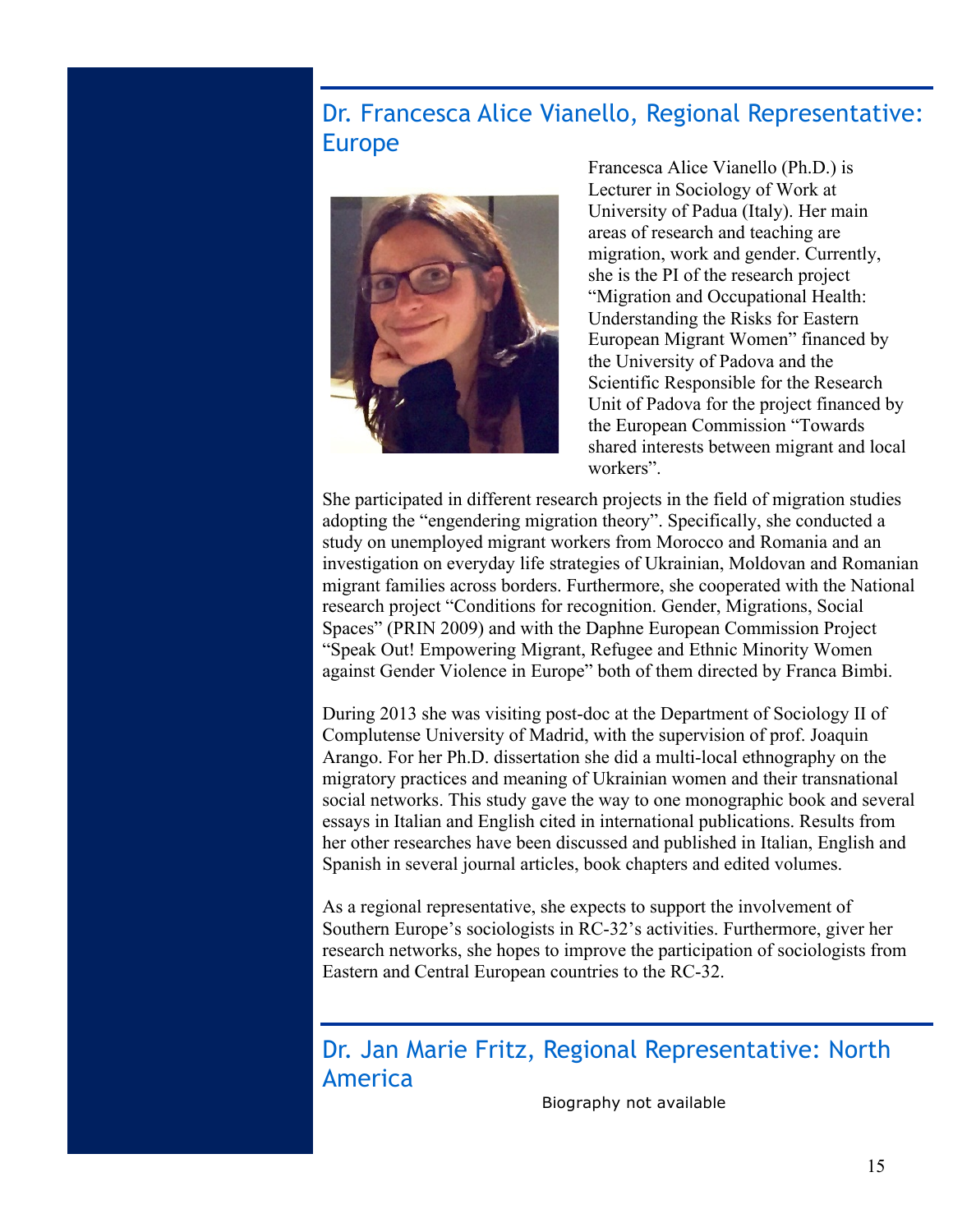#### Dr. Francesca Alice Vianello, Regional Representative: Europe



Francesca Alice Vianello (Ph.D.) is Lecturer in Sociology of Work at University of Padua (Italy). Her main areas of research and teaching are migration, work and gender. Currently, she is the PI of the research project "Migration and Occupational Health: Understanding the Risks for Eastern European Migrant Women" financed by the University of Padova and the Scientific Responsible for the Research Unit of Padova for the project financed by the European Commission "Towards shared interests between migrant and local workers".

She participated in different research projects in the field of migration studies adopting the "engendering migration theory". Specifically, she conducted a study on unemployed migrant workers from Morocco and Romania and an investigation on everyday life strategies of Ukrainian, Moldovan and Romanian migrant families across borders. Furthermore, she cooperated with the National research project "Conditions for recognition. Gender, Migrations, Social Spaces" (PRIN 2009) and with the Daphne European Commission Project "Speak Out! Empowering Migrant, Refugee and Ethnic Minority Women against Gender Violence in Europe" both of them directed by Franca Bimbi.

During 2013 she was visiting post-doc at the Department of Sociology II of Complutense University of Madrid, with the supervision of prof. Joaquin Arango. For her Ph.D. dissertation she did a multi-local ethnography on the migratory practices and meaning of Ukrainian women and their transnational social networks. This study gave the way to one monographic book and several essays in Italian and English cited in international publications. Results from her other researches have been discussed and published in Italian, English and Spanish in several journal articles, book chapters and edited volumes.

As a regional representative, she expects to support the involvement of Southern Europe's sociologists in RC-32's activities. Furthermore, giver her research networks, she hopes to improve the participation of sociologists from Eastern and Central European countries to the RC-32.

### Dr. Jan Marie Fritz, Regional Representative: North America

Biography not available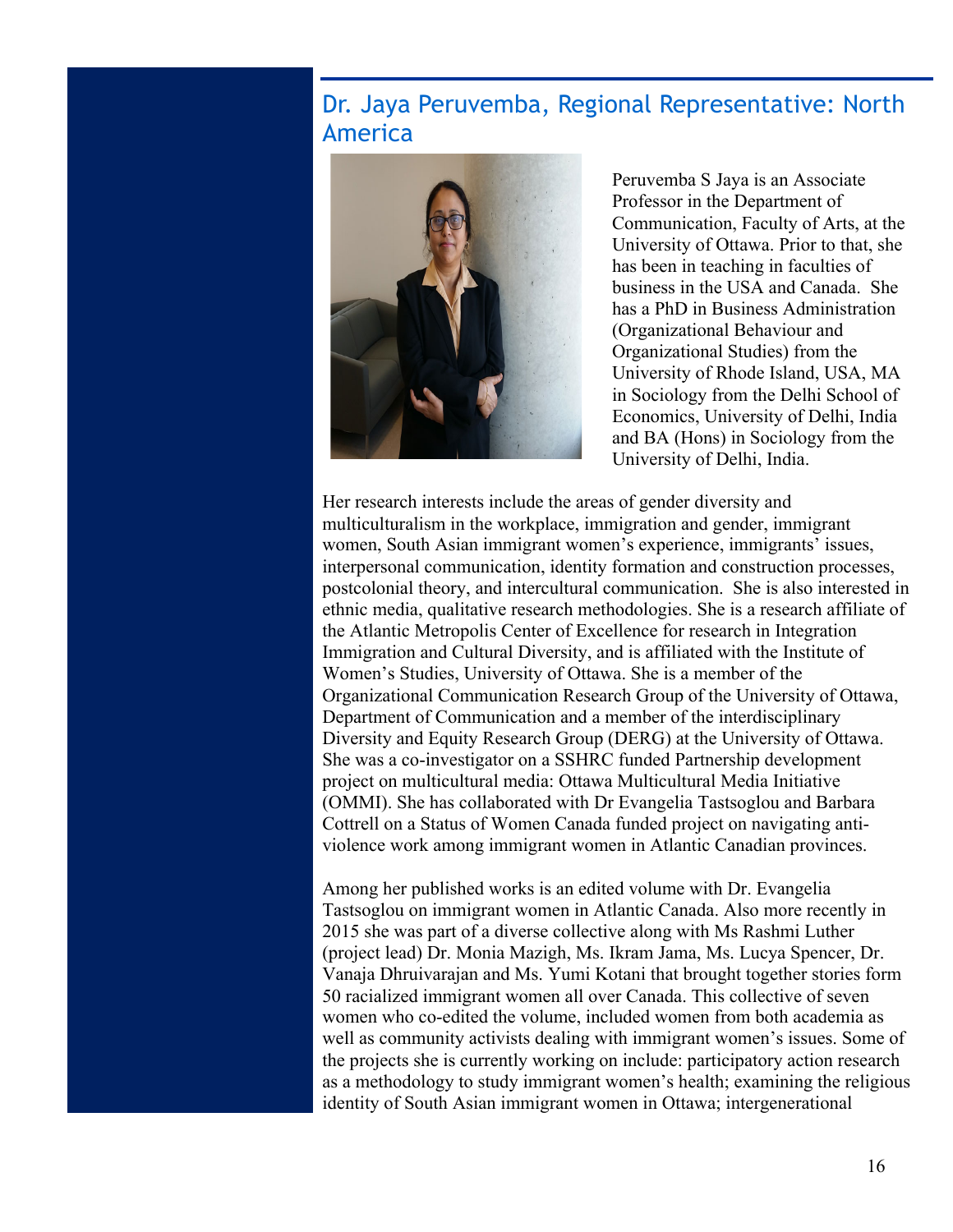#### Dr. Jaya Peruvemba, Regional Representative: North America



Peruvemba S Jaya is an Associate Professor in the Department of Communication, Faculty of Arts, at the University of Ottawa. Prior to that, she has been in teaching in faculties of business in the USA and Canada. She has a PhD in Business Administration (Organizational Behaviour and Organizational Studies) from the University of Rhode Island, USA, MA in Sociology from the Delhi School of Economics, University of Delhi, India and BA (Hons) in Sociology from the University of Delhi, India.

Her research interests include the areas of gender diversity and multiculturalism in the workplace, immigration and gender, immigrant women, South Asian immigrant women's experience, immigrants' issues, interpersonal communication, identity formation and construction processes, postcolonial theory, and intercultural communication. She is also interested in ethnic media, qualitative research methodologies. She is a research affiliate of the Atlantic Metropolis Center of Excellence for research in Integration Immigration and Cultural Diversity, and is affiliated with the Institute of Women's Studies, University of Ottawa. She is a member of the Organizational Communication Research Group of the University of Ottawa, Department of Communication and a member of the interdisciplinary Diversity and Equity Research Group (DERG) at the University of Ottawa. She was a co-investigator on a SSHRC funded Partnership development project on multicultural media: Ottawa Multicultural Media Initiative (OMMI). She has collaborated with Dr Evangelia Tastsoglou and Barbara Cottrell on a Status of Women Canada funded project on navigating antiviolence work among immigrant women in Atlantic Canadian provinces.

Among her published works is an edited volume with Dr. Evangelia Tastsoglou on immigrant women in Atlantic Canada. Also more recently in 2015 she was part of a diverse collective along with Ms Rashmi Luther (project lead) Dr. Monia Mazigh, Ms. Ikram Jama, Ms. Lucya Spencer, Dr. Vanaja Dhruivarajan and Ms. Yumi Kotani that brought together stories form 50 racialized immigrant women all over Canada. This collective of seven women who co-edited the volume, included women from both academia as well as community activists dealing with immigrant women's issues. Some of the projects she is currently working on include: participatory action research as a methodology to study immigrant women's health; examining the religious identity of South Asian immigrant women in Ottawa; intergenerational